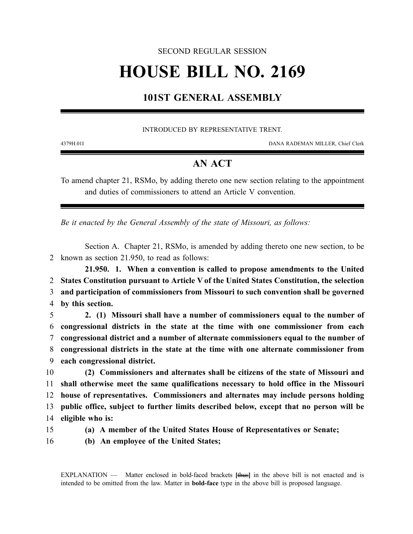### SECOND REGULAR SESSION

# **HOUSE BILL NO. 2169**

## **101ST GENERAL ASSEMBLY**

#### INTRODUCED BY REPRESENTATIVE TRENT.

4379H.01I DANA RADEMAN MILLER, Chief Clerk

## **AN ACT**

To amend chapter 21, RSMo, by adding thereto one new section relating to the appointment and duties of commissioners to attend an Article V convention.

*Be it enacted by the General Assembly of the state of Missouri, as follows:*

Section A. Chapter 21, RSMo, is amended by adding thereto one new section, to be 2 known as section 21.950, to read as follows:

**21.950. 1. When a convention is called to propose amendments to the United States Constitution pursuant to Article V of the United States Constitution, the selection and participation of commissioners from Missouri to such convention shall be governed by this section.**

 **2. (1) Missouri shall have a number of commissioners equal to the number of congressional districts in the state at the time with one commissioner from each congressional district and a number of alternate commissioners equal to the number of congressional districts in the state at the time with one alternate commissioner from each congressional district.**

 **(2) Commissioners and alternates shall be citizens of the state of Missouri and shall otherwise meet the same qualifications necessary to hold office in the Missouri house of representatives. Commissioners and alternates may include persons holding public office, subject to further limits described below, except that no person will be eligible who is:**

- 
- 15 **(a) A member of the United States House of Representatives or Senate;**
- 16 **(b) An employee of the United States;**

EXPLANATION — Matter enclosed in bold-faced brackets **[**thus**]** in the above bill is not enacted and is intended to be omitted from the law. Matter in **bold-face** type in the above bill is proposed language.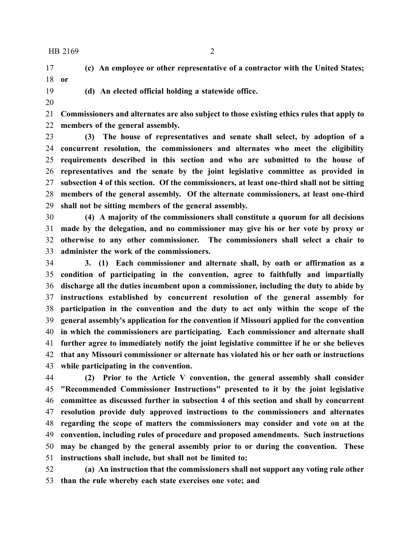HB 2169 2

 **(c) An employee or other representative of a contractor with the United States; or**

**(d) An elected official holding a statewide office.**

 **Commissioners and alternates are also subject to those existing ethics rules that apply to members of the general assembly.**

 **(3) The house of representatives and senate shall select, by adoption of a concurrent resolution, the commissioners and alternates who meet the eligibility requirements described in this section and who are submitted to the house of representatives and the senate by the joint legislative committee as provided in subsection 4 of this section. Of the commissioners, at least one-third shall not be sitting members of the general assembly. Of the alternate commissioners, at least one-third shall not be sitting members of the general assembly.**

 **(4) A majority of the commissioners shall constitute a quorum for all decisions made by the delegation, and no commissioner may give his or her vote by proxy or otherwise to any other commissioner. The commissioners shall select a chair to administer the work of the commissioners.**

 **3. (1) Each commissioner and alternate shall, by oath or affirmation as a condition of participating in the convention, agree to faithfully and impartially discharge all the duties incumbent upon a commissioner, including the duty to abide by instructions established by concurrent resolution of the general assembly for participation in the convention and the duty to act only within the scope of the general assembly's application for the convention if Missouri applied for the convention in which the commissioners are participating. Each commissioner and alternate shall further agree to immediately notify the joint legislative committee if he or she believes that any Missouri commissioner or alternate has violated his or her oath or instructions while participating in the convention.**

 **(2) Prior to the Article V convention, the general assembly shall consider "Recommended Commissioner Instructions" presented to it by the joint legislative committee as discussed further in subsection 4 of this section and shall by concurrent resolution provide duly approved instructions to the commissioners and alternates regarding the scope of matters the commissioners may consider and vote on at the convention, including rules of procedure and proposed amendments. Such instructions may be changed by the general assembly prior to or during the convention. These instructions shall include, but shall not be limited to:**

 **(a) An instruction that the commissioners shall not support any voting rule other than the rule whereby each state exercises one vote; and**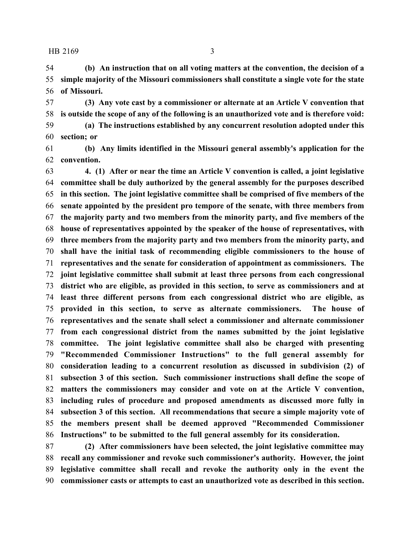HB 2169 3

 **(b) An instruction that on all voting matters at the convention, the decision of a simple majority of the Missouri commissioners shall constitute a single vote for the state of Missouri.**

 **(3) Any vote cast by a commissioner or alternate at an Article V convention that is outside the scope of any of the following is an unauthorized vote and is therefore void:**

 **(a) The instructions established by any concurrent resolution adopted under this section; or**

 **(b) Any limits identified in the Missouri general assembly's application for the convention.**

 **4. (1) After or near the time an Article V convention is called, a joint legislative committee shall be duly authorized by the general assembly for the purposes described in this section. The joint legislative committee shall be comprised of five members of the senate appointed by the president pro tempore of the senate, with three members from the majority party and two members from the minority party, and five members of the house of representatives appointed by the speaker of the house of representatives, with three members from the majority party and two members from the minority party, and shall have the initial task of recommending eligible commissioners to the house of representatives and the senate for consideration of appointment as commissioners. The joint legislative committee shall submit at least three persons from each congressional district who are eligible, as provided in this section, to serve as commissioners and at least three different persons from each congressional district who are eligible, as provided in this section, to serve as alternate commissioners. The house of representatives and the senate shall select a commissioner and alternate commissioner from each congressional district from the names submitted by the joint legislative committee. The joint legislative committee shall also be charged with presenting "Recommended Commissioner Instructions" to the full general assembly for consideration leading to a concurrent resolution as discussed in subdivision (2) of subsection 3 of this section. Such commissioner instructions shall define the scope of matters the commissioners may consider and vote on at the Article V convention, including rules of procedure and proposed amendments as discussed more fully in subsection 3 of this section. All recommendations that secure a simple majority vote of the members present shall be deemed approved "Recommended Commissioner Instructions" to be submitted to the full general assembly for its consideration.**

 **(2) After commissioners have been selected, the joint legislative committee may recall any commissioner and revoke such commissioner's authority. However, the joint legislative committee shall recall and revoke the authority only in the event the commissioner casts or attempts to cast an unauthorized vote as described in this section.**